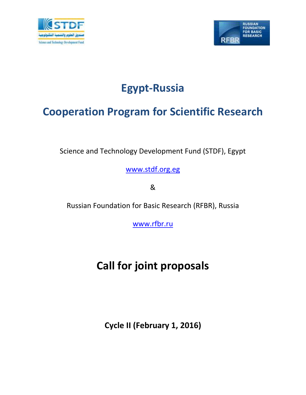



# **Egypt-Russia**

## **Cooperation Program for Scientific Research**

Science and Technology Development Fund (STDF), Egypt

[www.stdf.org.eg](http://www.stdf.org.eg/)

&

Russian Foundation for Basic Research (RFBR), Russia

[www.rfbr.ru](http://www.rfbr.ru/)

# **Call for joint proposals**

**Cycle II (February 1, 2016)**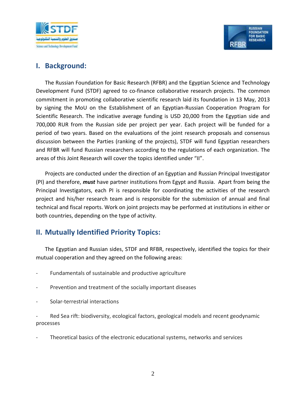



#### **I. Background:**

The Russian Foundation for Basic Research (RFBR) and the Egyptian Science and Technology Development Fund (STDF) agreed to co-finance collaborative research projects. The common commitment in promoting collaborative scientific research laid its foundation in 13 May, 2013 by signing the MoU on the Establishment of an Egyptian-Russian Cooperation Program for Scientific Research. The indicative average funding is USD 20,000 from the Egyptian side and 700,000 RUR from the Russian side per project per year. Each project will be funded for a period of two years. Based on the evaluations of the joint research proposals and consensus discussion between the Parties (ranking of the projects), STDF will fund Egyptian researchers and RFBR will fund Russian researchers according to the regulations of each organization. The areas of this Joint Research will cover the topics identified under "II".

Projects are conducted under the direction of an Egyptian and Russian Principal Investigator (PI) and therefore, *must* have partner institutions from Egypt and Russia. Apart from being the Principal Investigators, each PI is responsible for coordinating the activities of the research project and his/her research team and is responsible for the submission of annual and final technical and fiscal reports. Work on joint projects may be performed at institutions in either or both countries, depending on the type of activity.

## **II. Mutually Identified Priority Topics:**

The Egyptian and Russian sides, STDF and RFBR, respectively, identified the topics for their mutual cooperation and they agreed on the following areas:

- Fundamentals of sustainable and productive agriculture
- Prevention and treatment of the socially important diseases
- Solar-terrestrial interactions

Red Sea rift: biodiversity, ecological factors, geological models and recent geodynamic processes

Theoretical basics of the electronic educational systems, networks and services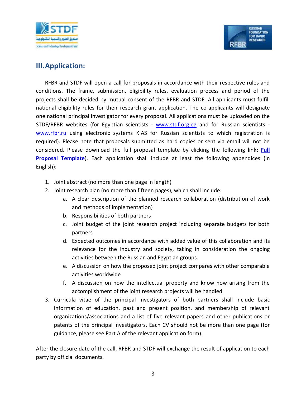



### **III.Application:**

RFBR and STDF will open a call for proposals in accordance with their respective rules and conditions. The frame, submission, eligibility rules, evaluation process and period of the projects shall be decided by mutual consent of the RFBR and STDF. All applicants must fulfill national eligibility rules for their research grant application. The co-applicants will designate one national principal investigator for every proposal. All applications must be uploaded on the STDF/RFBR websites (for Egyptian scientists - [www.stdf.org.eg](http://www.stdf.org.eg/) and for Russian scientists [www.rfbr.ru](http://www.rfbr.ru/) using electronic systems KIAS for Russian scientists to which registration is required). Please note that proposals submitted as hard copies or sent via email will not be considered. Please download the full proposal template by clicking the following link: **Full Proposal Template**). Each application shall include at least the following appendices (in English):

- 1. Joint abstract (no more than one page in length)
- 2. Joint research plan (no more than fifteen pages), which shall include:
	- a. A clear description of the planned research collaboration (distribution of work and methods of implementation)
	- b. Responsibilities of both partners
	- c. Joint budget of the joint research project including separate budgets for both partners
	- d. Expected outcomes in accordance with added value of this collaboration and its relevance for the industry and society, taking in consideration the ongoing activities between the Russian and Egyptian groups.
	- e. A discussion on how the proposed joint project compares with other comparable activities worldwide
	- f. A discussion on how the intellectual property and know how arising from the accomplishment of the joint research projects will be handled
- 3. Curricula vitae of the principal investigators of both partners shall include basic information of education, past and present position, and membership of relevant organizations/associations and a list of five relevant papers and other publications or patents of the principal investigators. Each CV should not be more than one page (for guidance, please see Part A of the relevant application form).

After the closure date of the call, RFBR and STDF will exchange the result of application to each party by official documents.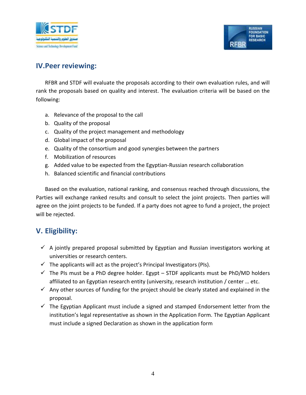



#### **IV.Peer reviewing:**

RFBR and STDF will evaluate the proposals according to their own evaluation rules, and will rank the proposals based on quality and interest. The evaluation criteria will be based on the following:

- a. Relevance of the proposal to the call
- b. Quality of the proposal
- c. Quality of the project management and methodology
- d. Global impact of the proposal
- e. Quality of the consortium and good synergies between the partners
- f. Mobilization of resources
- g. Added value to be expected from the Egyptian-Russian research collaboration
- h. Balanced scientific and financial contributions

Based on the evaluation, national ranking, and consensus reached through discussions, the Parties will exchange ranked results and consult to select the joint projects. Then parties will agree on the joint projects to be funded. If a party does not agree to fund a project, the project will be rejected.

## **V. Eligibility:**

- $\checkmark$  A jointly prepared proposal submitted by Egyptian and Russian investigators working at universities or research centers.
- $\checkmark$  The applicants will act as the project's Principal Investigators (PIs).
- $\checkmark$  The PIs must be a PhD degree holder. Egypt STDF applicants must be PhD/MD holders affiliated to an Egyptian research entity (university, research institution / center … etc.
- $\checkmark$  Any other sources of funding for the project should be clearly stated and explained in the proposal.
- $\checkmark$  The Egyptian Applicant must include a signed and stamped Endorsement letter from the institution's legal representative as shown in the Application Form. The Egyptian Applicant must include a signed Declaration as shown in the application form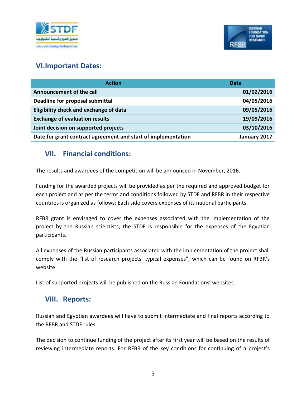



#### **VI.Important Dates:**

| <b>Action</b>                                                 | <b>Date</b>  |
|---------------------------------------------------------------|--------------|
| Announcement of the call                                      | 01/02/2016   |
| Deadline for proposal submittal                               | 04/05/2016   |
| Eligibility check and exchange of data                        | 09/05/2016   |
| <b>Exchange of evaluation results</b>                         | 19/09/2016   |
| Joint decision on supported projects                          | 03/10/2016   |
| Date for grant contract agreement and start of implementation | January 2017 |

#### **VII. Financial conditions:**

The results and awardees of the competition will be announced in November, 2016.

Funding for the awarded projects will be provided as per the required and approved budget for each project and as per the terms and conditions followed by STDF and RFBR in their respective countries is organized as follows: Each side covers expenses of its national participants.

RFBR grant is envisaged to cover the expenses associated with the implementation of the project by the Russian scientists; the STDF is responsible for the expenses of the Egyptian participants.

All expenses of the Russian participants associated with the implementation of the project shall comply with the "list of research projects' typical expenses", which can be found on RFBR's website.

List of supported projects will be published on the Russian Foundations' websites.

#### **VIII. Reports:**

Russian and Egyptian awardees will have to submit intermediate and final reports according to the RFBR and STDF rules.

The decision to continue funding of the project after its first year will be based on the results of reviewing intermediate reports. For RFBR of the key conditions for continuing of a project's